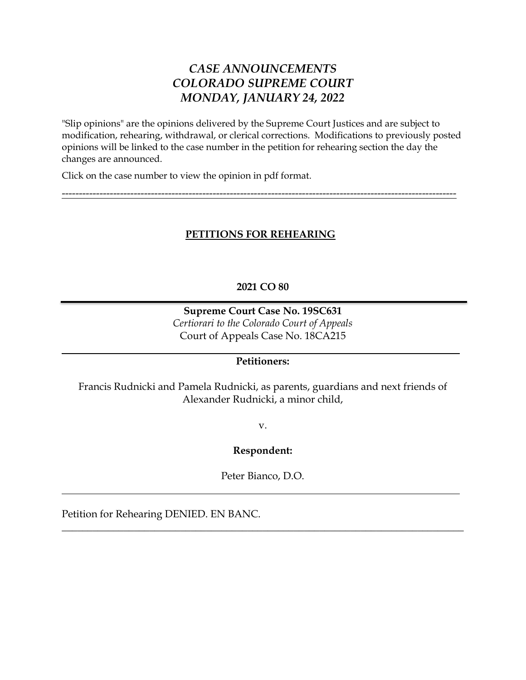# *CASE ANNOUNCEMENTS COLORADO SUPREME COURT MONDAY, JANUARY 24, 2022*

"Slip opinions" are the opinions delivered by the Supreme Court Justices and are subject to modification, rehearing, withdrawal, or clerical corrections. Modifications to previously posted opinions will be linked to the case number in the petition for rehearing section the day the changes are announced.

Click on the case number to view the opinion in pdf format.

# **PETITIONS FOR REHEARING**

-------------------------------------------------------------------------------------------------------------------

## **2021 CO 80**

# **Supreme Court Case No. 19SC631** *Certiorari to the Colorado Court of Appeals* Court of Appeals Case No. 18CA215

## **Petitioners:**

Francis Rudnicki and Pamela Rudnicki, as parents, guardians and next friends of Alexander Rudnicki, a minor child,

v.

## **Respondent:**

Peter Bianco, D.O.

\_\_\_\_\_\_\_\_\_\_\_\_\_\_\_\_\_\_\_\_\_\_\_\_\_\_\_\_\_\_\_\_\_\_\_\_\_\_\_\_\_\_\_\_\_\_\_\_\_\_\_\_\_\_\_\_\_\_\_\_\_\_\_\_\_\_\_\_\_\_\_\_\_\_\_\_\_\_

Petition for Rehearing DENIED. EN BANC.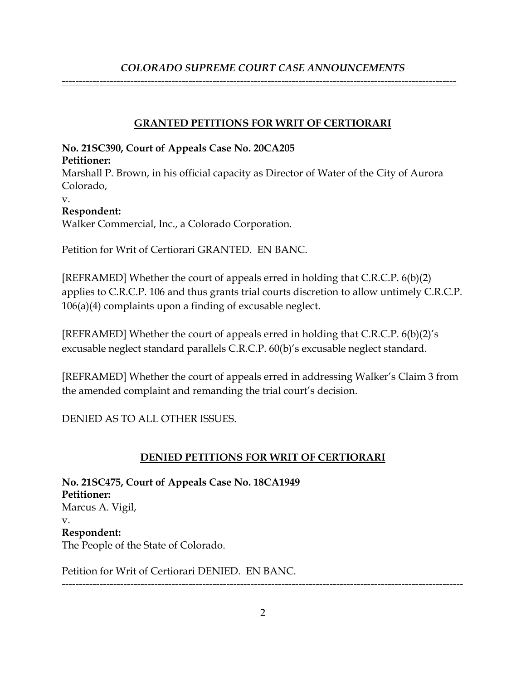# *COLORADO SUPREME COURT CASE ANNOUNCEMENTS*

-------------------------------------------------------------------------------------------------------------------

## **GRANTED PETITIONS FOR WRIT OF CERTIORARI**

# **No. 21SC390, Court of Appeals Case No. 20CA205**

### **Petitioner:**

Marshall P. Brown, in his official capacity as Director of Water of the City of Aurora Colorado,

v.

# **Respondent:**

Walker Commercial, Inc., a Colorado Corporation.

Petition for Writ of Certiorari GRANTED. EN BANC.

[REFRAMED] Whether the court of appeals erred in holding that C.R.C.P. 6(b)(2) applies to C.R.C.P. 106 and thus grants trial courts discretion to allow untimely C.R.C.P. 106(a)(4) complaints upon a finding of excusable neglect.

[REFRAMED] Whether the court of appeals erred in holding that C.R.C.P. 6(b)(2)'s excusable neglect standard parallels C.R.C.P. 60(b)'s excusable neglect standard.

[REFRAMED] Whether the court of appeals erred in addressing Walker's Claim 3 from the amended complaint and remanding the trial court's decision.

DENIED AS TO ALL OTHER ISSUES.

# **DENIED PETITIONS FOR WRIT OF CERTIORARI**

**No. 21SC475, Court of Appeals Case No. 18CA1949 Petitioner:** Marcus A. Vigil, v. **Respondent:** The People of the State of Colorado.

Petition for Writ of Certiorari DENIED. EN BANC.

---------------------------------------------------------------------------------------------------------------------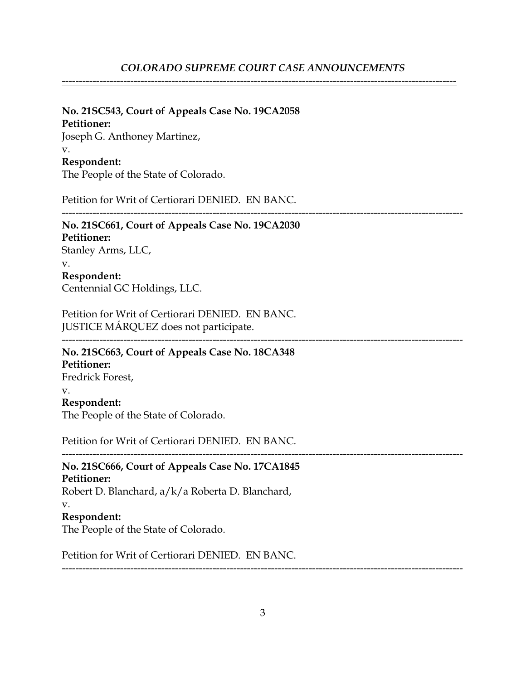-------------------------------------------------------------------------------------------------------------------

**No. 21SC543, Court of Appeals Case No. 19CA2058**

#### **Petitioner:**

Joseph G. Anthoney Martinez,

#### v.

## **Respondent:**

The People of the State of Colorado.

Petition for Writ of Certiorari DENIED. EN BANC.

### --------------------------------------------------------------------------------------------------------------------- **No. 21SC661, Court of Appeals Case No. 19CA2030 Petitioner:** Stanley Arms, LLC, v.

# **Respondent:** Centennial GC Holdings, LLC.

Petition for Writ of Certiorari DENIED. EN BANC. JUSTICE MÁRQUEZ does not participate.

--------------------------------------------------------------------------------------------------------------------- **No. 21SC663, Court of Appeals Case No. 18CA348**

#### **Petitioner:** Fredrick Forest, v.

## **Respondent:**

The People of the State of Colorado.

Petition for Writ of Certiorari DENIED. EN BANC.

# --------------------------------------------------------------------------------------------------------------------- **No. 21SC666, Court of Appeals Case No. 17CA1845 Petitioner:**

Robert D. Blanchard, a/k/a Roberta D. Blanchard, v. **Respondent:**

The People of the State of Colorado.

Petition for Writ of Certiorari DENIED. EN BANC.

---------------------------------------------------------------------------------------------------------------------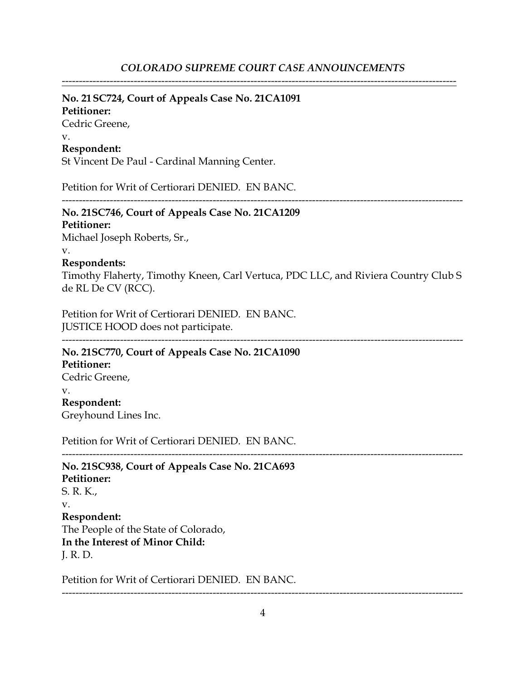-------------------------------------------------------------------------------------------------------------------

#### **No. 21SC724, Court of Appeals Case No. 21CA1091**

#### **Petitioner:**

Cedric Greene, v.

## **Respondent:**

St Vincent De Paul - Cardinal Manning Center.

Petition for Writ of Certiorari DENIED. EN BANC.

---------------------------------------------------------------------------------------------------------------------

# **No. 21SC746, Court of Appeals Case No. 21CA1209**

#### **Petitioner:**

Michael Joseph Roberts, Sr.,

v.

#### **Respondents:**

Timothy Flaherty, Timothy Kneen, Carl Vertuca, PDC LLC, and Riviera Country Club S de RL De CV (RCC).

Petition for Writ of Certiorari DENIED. EN BANC. JUSTICE HOOD does not participate.

---------------------------------------------------------------------------------------------------------------------

**No. 21SC770, Court of Appeals Case No. 21CA1090**

**Petitioner:** Cedric Greene, v. **Respondent:** Greyhound Lines Inc.

Petition for Writ of Certiorari DENIED. EN BANC.

--------------------------------------------------------------------------------------------------------------------- **No. 21SC938, Court of Appeals Case No. 21CA693 Petitioner:** S. R. K., v. **Respondent:** The People of the State of Colorado, **In the Interest of Minor Child:** J. R. D.

Petition for Writ of Certiorari DENIED. EN BANC.

---------------------------------------------------------------------------------------------------------------------